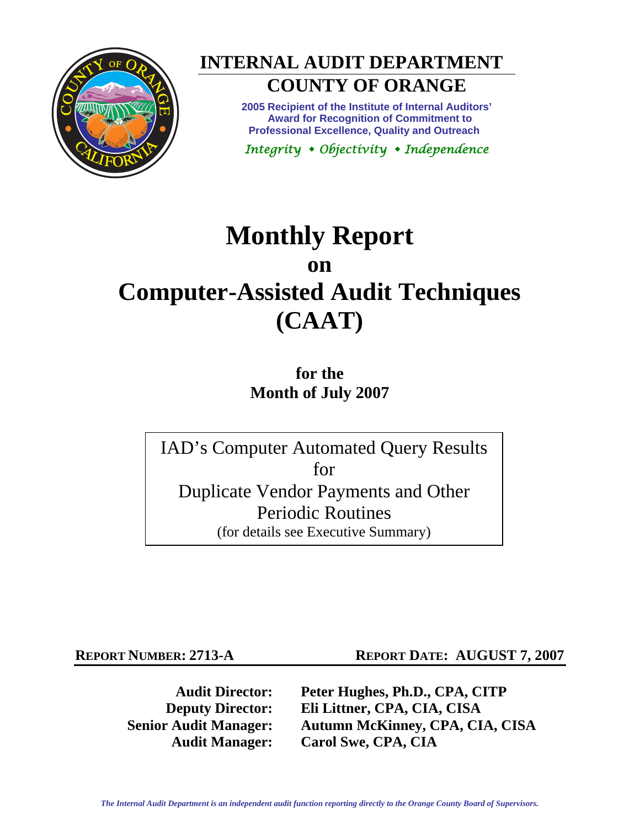

# **INTERNAL AUDIT DEPARTMENT**

## **COUNTY OF ORANGE**

**2005 Recipient of the Institute of Internal Auditors' Award for Recognition of Commitment to Professional Excellence, Quality and Outreach** 

*Integrity Objectivity Independence* 

## **Monthly Report on Computer-Assisted Audit Techniques (CAAT)**

**for the Month of July 2007** 

IAD's Computer Automated Query Results for Duplicate Vendor Payments and Other Periodic Routines (for details see Executive Summary)

**REPORT NUMBER: 2713-A REPORT DATE: AUGUST 7, 2007** 

**Audit Director: Peter Hughes, Ph.D., CPA, CITP Deputy Director: Eli Littner, CPA, CIA, CISA Senior Audit Manager: Autumn McKinney, CPA, CIA, CISA Audit Manager: Carol Swe, CPA, CIA**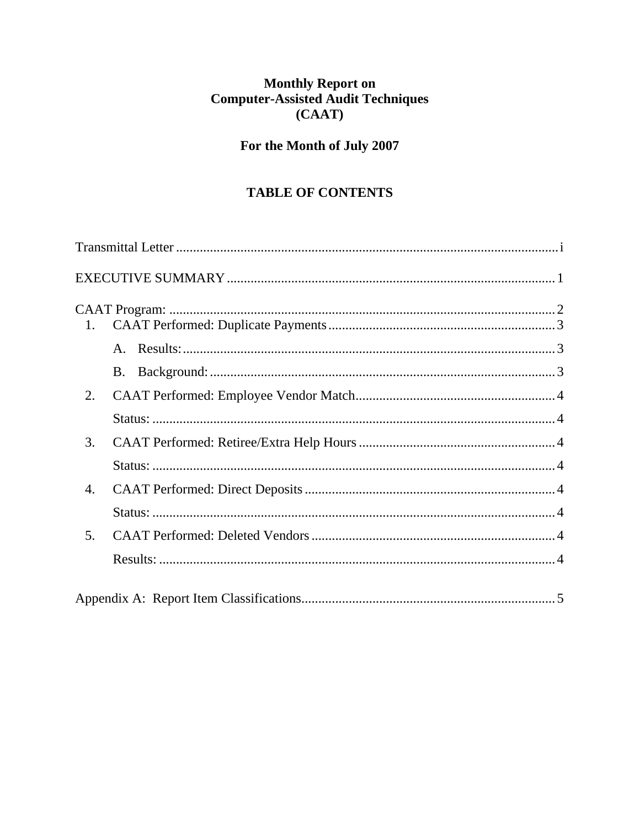## Monthly Report on<br>Computer-Assisted Audit Techniques  $(CAAT)$

### For the Month of July 2007

### **TABLE OF CONTENTS**

| 1. |  |
|----|--|
|    |  |
|    |  |
| 2. |  |
|    |  |
| 3. |  |
|    |  |
| 4. |  |
|    |  |
| 5. |  |
|    |  |
|    |  |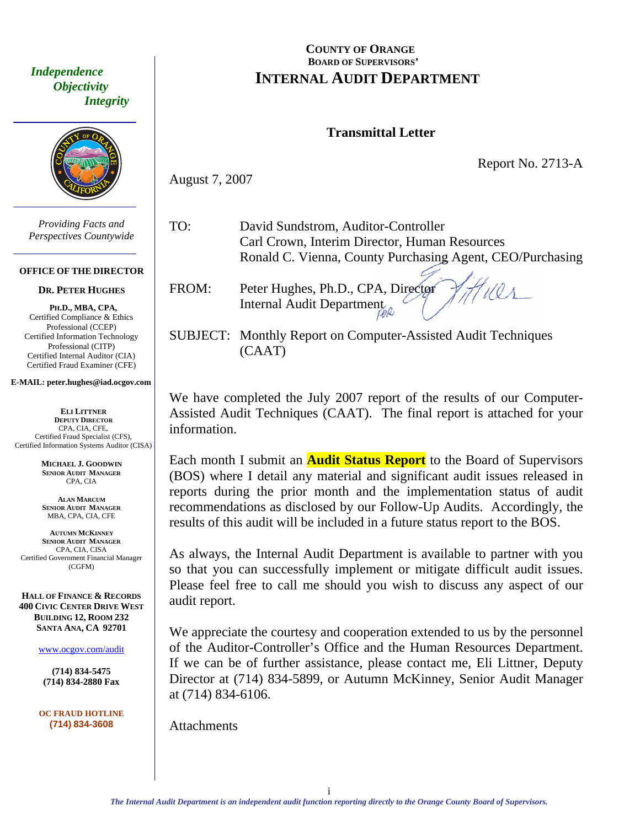<span id="page-2-0"></span> *Independence Objectivity Integrity* 



*Providing Facts and Perspectives Countywide* 

#### **OFFICE OF THE DIRECTOR**

#### **DR. PETER HUGHES**

**PH.D., MBA, CPA,**  Certified Compliance & Ethics Professional (CCEP) Certified Information Technology Professional (CITP) Certified Internal Auditor (CIA) Certified Fraud Examiner (CFE)

#### **E-MAIL: peter.hughes@iad.ocgov.com**

**ELI LITTNER DEPUTY DIRECTOR** CPA, CIA, CFE, Certified Fraud Specialist (CFS), Certified Information Systems Auditor (CISA)

> **MICHAEL J. GOODWIN SENIOR AUDIT MANAGER** CPA, CIA

**ALAN MARCUM SENIOR AUDIT MANAGER** MBA, CPA, CIA, CFE

**AUTUMN MCKINNEY SENIOR AUDIT MANAGER** CPA, CIA, CISA Certified Government Financial Manager (CGFM)

**HALL OF FINANCE & RECORDS 400 CIVIC CENTER DRIVE WEST BUILDING 12, ROOM 232 SANTA ANA, CA 92701** 

www.ocgov.com/audit

**(714) 834-5475 (714) 834-2880 Fax** 

**OC FRAUD HOTLINE (714) 834-3608** 

#### **COUNTY OF ORANGE BOARD OF SUPERVISORS' INTERNAL AUDIT DEPARTMENT**

#### **Transmittal Letter**

Report No. 2713-A

August 7, 2007

TO: David Sundstrom, Auditor-Controller Carl Crown, Interim Director, Human Resources Ronald C. Vienna, County Purchasing Agent, CEO/Purchasing

FROM: Peter Hughes, Ph.D., CPA, Director Internal Audit Department

SUBJECT: Monthly Report on Computer-Assisted Audit Techniques (CAAT)

We have completed the July 2007 report of the results of our Computer-Assisted Audit Techniques (CAAT). The final report is attached for your information.

Each month I submit an **Audit Status Report** to the Board of Supervisors (BOS) where I detail any material and significant audit issues released in reports during the prior month and the implementation status of audit recommendations as disclosed by our Follow-Up Audits. Accordingly, the results of this audit will be included in a future status report to the BOS.

As always, the Internal Audit Department is available to partner with you so that you can successfully implement or mitigate difficult audit issues. Please feel free to call me should you wish to discuss any aspect of our audit report.

We appreciate the courtesy and cooperation extended to us by the personnel of the Auditor-Controller's Office and the Human Resources Department. If we can be of further assistance, please contact me, Eli Littner, Deputy Director at (714) 834-5899, or Autumn McKinney, Senior Audit Manager at (714) 834-6106.

**Attachments**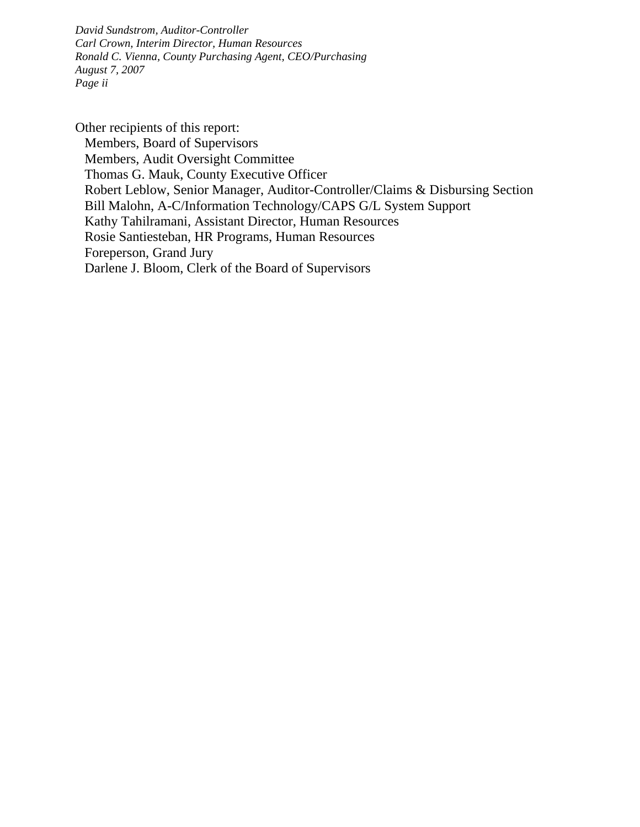*David Sundstrom, Auditor-Controller Carl Crown, Interim Director, Human Resources Ronald C. Vienna, County Purchasing Agent, CEO/Purchasing August 7, 2007 Page ii* 

Other recipients of this report: Members, Board of Supervisors Members, Audit Oversight Committee Thomas G. Mauk, County Executive Officer Robert Leblow, Senior Manager, Auditor-Controller/Claims & Disbursing Section Bill Malohn, A-C/Information Technology/CAPS G/L System Support Kathy Tahilramani, Assistant Director, Human Resources Rosie Santiesteban, HR Programs, Human Resources Foreperson, Grand Jury Darlene J. Bloom, Clerk of the Board of Supervisors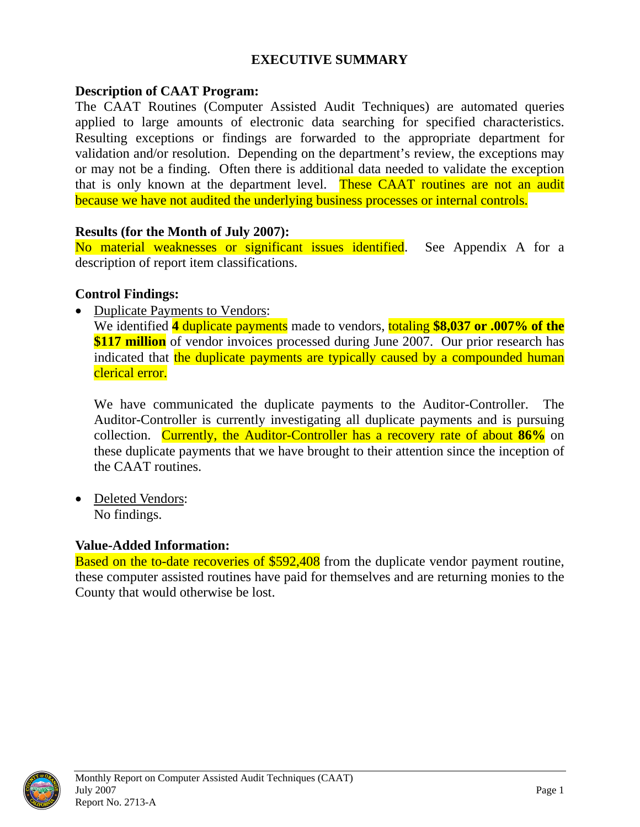#### **EXECUTIVE SUMMARY**

#### <span id="page-4-0"></span>**Description of CAAT Program:**

The CAAT Routines (Computer Assisted Audit Techniques) are automated queries applied to large amounts of electronic data searching for specified characteristics. Resulting exceptions or findings are forwarded to the appropriate department for validation and/or resolution. Depending on the department's review, the exceptions may or may not be a finding. Often there is additional data needed to validate the exception that is only known at the department level. These CAAT routines are not an audit because we have not audited the underlying business processes or internal controls.

#### **Results (for the Month of July 2007):**

No material weaknesses or significant issues identified. See Appendix A for a description of report item classifications.

#### **Control Findings:**

• Duplicate Payments to Vendors:

We identified **4** duplicate payments made to vendors, totaling **\$8,037 or .007% of the \$117 million** of vendor invoices processed during June 2007. Our prior research has indicated that the duplicate payments are typically caused by a compounded human clerical error.

We have communicated the duplicate payments to the Auditor-Controller. The Auditor-Controller is currently investigating all duplicate payments and is pursuing collection. Currently, the Auditor-Controller has a recovery rate of about **86%** on these duplicate payments that we have brought to their attention since the inception of the CAAT routines.

• Deleted Vendors: No findings.

#### **Value-Added Information:**

**Based on the to-date recoveries of \$592,408** from the duplicate vendor payment routine, these computer assisted routines have paid for themselves and are returning monies to the County that would otherwise be lost.

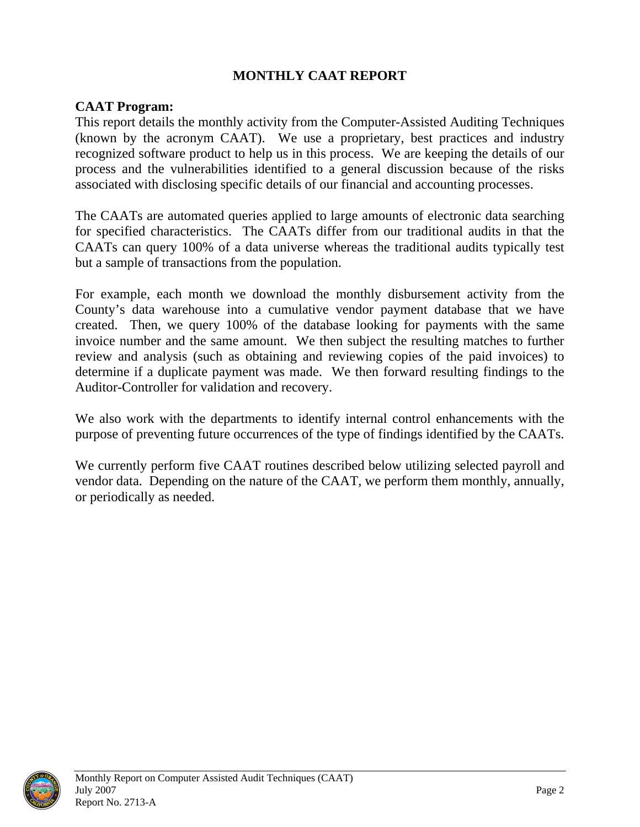#### **MONTHLY CAAT REPORT**

#### <span id="page-5-0"></span>**CAAT Program:**

This report details the monthly activity from the Computer-Assisted Auditing Techniques (known by the acronym CAAT). We use a proprietary, best practices and industry recognized software product to help us in this process. We are keeping the details of our process and the vulnerabilities identified to a general discussion because of the risks associated with disclosing specific details of our financial and accounting processes.

The CAATs are automated queries applied to large amounts of electronic data searching for specified characteristics. The CAATs differ from our traditional audits in that the CAATs can query 100% of a data universe whereas the traditional audits typically test but a sample of transactions from the population.

For example, each month we download the monthly disbursement activity from the County's data warehouse into a cumulative vendor payment database that we have created. Then, we query 100% of the database looking for payments with the same invoice number and the same amount. We then subject the resulting matches to further review and analysis (such as obtaining and reviewing copies of the paid invoices) to determine if a duplicate payment was made. We then forward resulting findings to the Auditor-Controller for validation and recovery.

We also work with the departments to identify internal control enhancements with the purpose of preventing future occurrences of the type of findings identified by the CAATs.

We currently perform five CAAT routines described below utilizing selected payroll and vendor data. Depending on the nature of the CAAT, we perform them monthly, annually, or periodically as needed.

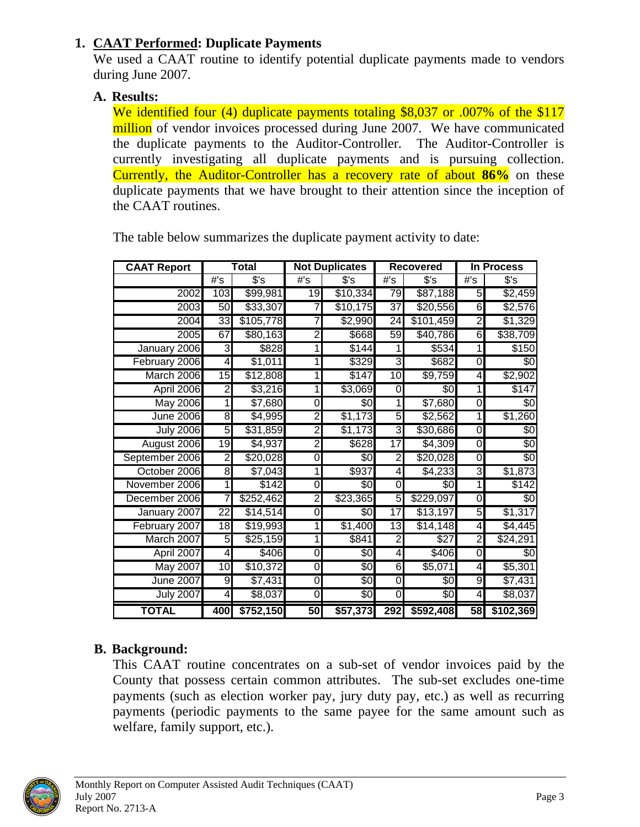#### <span id="page-6-0"></span>**1. CAAT Performed: Duplicate Payments**

We used a CAAT routine to identify potential duplicate payments made to vendors during June 2007.

#### **A. Results:**

We identified four (4) duplicate payments totaling \$8,037 or .007% of the \$117 million of vendor invoices processed during June 2007. We have communicated the duplicate payments to the Auditor-Controller. The Auditor-Controller is currently investigating all duplicate payments and is pursuing collection. Currently, the Auditor-Controller has a recovery rate of about **86%** on these duplicate payments that we have brought to their attention since the inception of the CAAT routines.

| <b>CAAT Report</b> | Total           |                     | <b>Not Duplicates</b> |                    | <b>Recovered</b> |                 | In Process       |           |
|--------------------|-----------------|---------------------|-----------------------|--------------------|------------------|-----------------|------------------|-----------|
|                    | #'s             | $\sqrt{$^{\circ}$}$ | #S                    | \$'s               | $\overline{\#S}$ | $s$ 's          | $\overline{\#s}$ | $s$ 's    |
| 2002               | 103             | \$99,981            | 19                    | \$10,334           | 79               | \$87,188        | 5                | \$2,459   |
| 2003               | 50              | \$33,307            | 7                     | \$10,175           | $\overline{37}$  | \$20,556        | 6                | \$2,576   |
| 2004               | 33              | \$105,778           |                       | \$2,990            | $\overline{24}$  | \$101,459       | $\overline{2}$   | \$1,329   |
| 2005               | 67              | \$80,163            | 2                     | \$668              | 59               | \$40,786        | 6                | \$38,709  |
| January 2006       | 3               | \$828               |                       | \$144              | 1                | \$534           |                  | \$150     |
| February 2006      | $\overline{4}$  | \$1,011             |                       | \$329              | 3                | \$682           | $\pmb{0}$        | \$0       |
| March 2006         | 15              | \$12,808            | 1                     | \$147              | 10               | \$9,759         | 4                | \$2,902   |
| April 2006         | $\overline{2}$  | \$3,216             |                       | \$3,069            | 0                | \$0             | 1                | \$147     |
| <b>May 2006</b>    | $\overline{1}$  | \$7,680             | 0                     | \$0                | 1                | \$7,680         | O                | \$0       |
| <b>June 2006</b>   | 8               | \$4,995             | $\overline{2}$        | \$1,173            | 5                | \$2,562         | 1                | \$1,260   |
| <b>July 2006</b>   | 5               | \$31,859            | 2                     | $\overline{1,173}$ | 3                | \$30,686        | 0                | 80        |
| August 2006        | 19              | \$4,937             | 2                     | \$628              | $\overline{17}$  | \$4,309         | O                | \$0       |
| September 2006     | 2               | \$20,028            | O                     | \$0                | $\overline{2}$   | \$20,028        | 0                | \$0       |
| October 2006       | 8               | \$7,043             | 1                     | \$937              | 4                | \$4,233         | 3                | \$1,873   |
| November 2006      | 1               | \$142               | 0                     | \$0                | $\overline{0}$   | \$0             | 1                | \$142     |
| December 2006      | 7               | \$252,462           | $\overline{2}$        | \$23,365           | 5                | \$229,097       | 0                | \$0       |
| January 2007       | 22              | \$14,514            | 0                     | \$0                | $1\overline{7}$  | \$13,197        | 5                | \$1,317   |
| February 2007      | $\overline{18}$ | \$19,993            |                       | \$1,400            | 13               | \$14,148        | 4                | \$4,445   |
| March 2007         | 5               | \$25,159            | 1                     | \$841              | $\overline{2}$   | \$27            | N)               | \$24,291  |
| April 2007         | 4               | \$406               | 0                     | \$                 | 4                | \$406           | Ō                | \$0       |
| <b>May 2007</b>    | 10              | \$10,372            | O                     | \$0                | 6                | \$5,071         | $\blacktriangle$ | \$5,301   |
| <b>June 2007</b>   | 9               | \$7,431             | O                     | \$0                | $\overline{0}$   | $\overline{60}$ | 9                | \$7,431   |
| <b>July 2007</b>   | 4               | \$8,037             | 0                     | \$0                | $\overline{0}$   | \$0             | 4                | \$8,037   |
| <b>TOTAL</b>       | 400             | \$752,150           | 50                    | \$57,373           | 292              | \$592,408       | 58               | \$102,369 |

The table below summarizes the duplicate payment activity to date:

### **B. Background:**

This CAAT routine concentrates on a sub-set of vendor invoices paid by the County that possess certain common attributes. The sub-set excludes one-time payments (such as election worker pay, jury duty pay, etc.) as well as recurring payments (periodic payments to the same payee for the same amount such as welfare, family support, etc.).

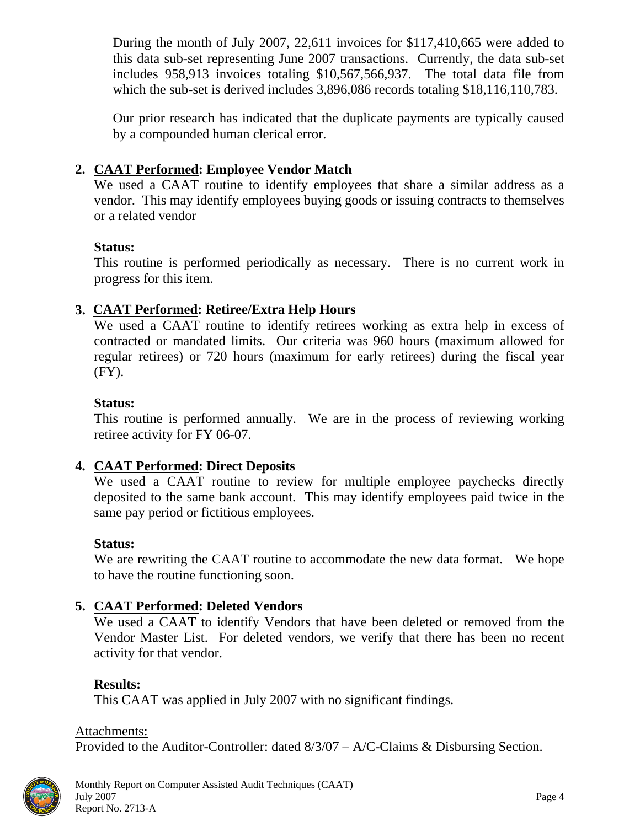<span id="page-7-0"></span>During the month of July 2007, 22,611 invoices for \$117,410,665 were added to this data sub-set representing June 2007 transactions. Currently, the data sub-set includes 958,913 invoices totaling \$10,567,566,937. The total data file from which the sub-set is derived includes 3,896,086 records totaling \$18,116,110,783.

Our prior research has indicated that the duplicate payments are typically caused by a compounded human clerical error.

#### **2. CAAT Performed: Employee Vendor Match**

We used a CAAT routine to identify employees that share a similar address as a vendor. This may identify employees buying goods or issuing contracts to themselves or a related vendor

#### **Status:**

This routine is performed periodically as necessary. There is no current work in progress for this item.

#### **3. CAAT Performed: Retiree/Extra Help Hours**

We used a CAAT routine to identify retirees working as extra help in excess of contracted or mandated limits. Our criteria was 960 hours (maximum allowed for regular retirees) or 720 hours (maximum for early retirees) during the fiscal year (FY).

#### **Status:**

This routine is performed annually. We are in the process of reviewing working retiree activity for FY 06-07.

#### **4. CAAT Performed: Direct Deposits**

We used a CAAT routine to review for multiple employee paychecks directly deposited to the same bank account. This may identify employees paid twice in the same pay period or fictitious employees.

#### **Status:**

We are rewriting the CAAT routine to accommodate the new data format. We hope to have the routine functioning soon.

#### **5. CAAT Performed: Deleted Vendors**

We used a CAAT to identify Vendors that have been deleted or removed from the Vendor Master List. For deleted vendors, we verify that there has been no recent activity for that vendor.

### **Results:**

This CAAT was applied in July 2007 with no significant findings.

#### Attachments:

Provided to the Auditor-Controller: dated 8/3/07 – A/C-Claims & Disbursing Section.